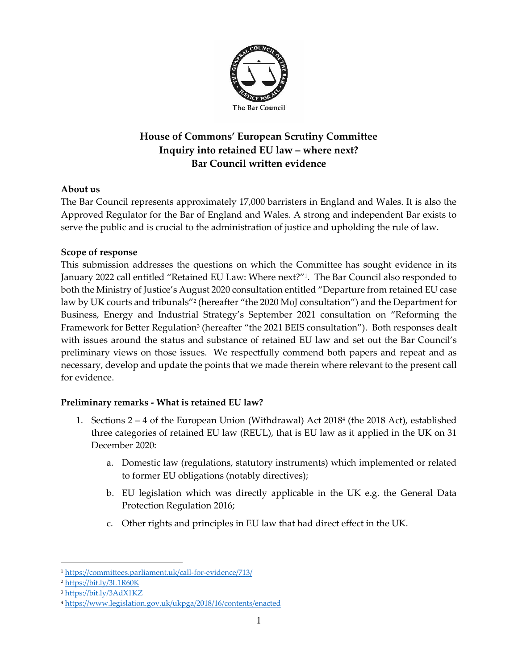

# **House of Commons' European Scrutiny Committee Inquiry into retained EU law – where next? Bar Council written evidence**

## **About us**

The Bar Council represents approximately 17,000 barristers in England and Wales. It is also the Approved Regulator for the Bar of England and Wales. A strong and independent Bar exists to serve the public and is crucial to the administration of justice and upholding the rule of law.

## **Scope of response**

This submission addresses the questions on which the Committee has sought evidence in its January 2022 call entitled "Retained EU Law: Where next?"<sup>1</sup> . The Bar Council also responded to both the Ministry of Justice's August 2020 consultation entitled "Departure from retained EU case law by UK courts and tribunals"<sup>2</sup> (hereafter "the 2020 MoJ consultation") and the Department for Business, Energy and Industrial Strategy's September 2021 consultation on "Reforming the Framework for Better Regulation<sup>3</sup> (hereafter "the 2021 BEIS consultation"). Both responses dealt with issues around the status and substance of retained EU law and set out the Bar Council's preliminary views on those issues. We respectfully commend both papers and repeat and as necessary, develop and update the points that we made therein where relevant to the present call for evidence.

## **Preliminary remarks - What is retained EU law?**

- 1. Sections 2 4 of the European Union (Withdrawal) Act 2018<sup>4</sup> (the 2018 Act), established three categories of retained EU law (REUL), that is EU law as it applied in the UK on 31 December 2020:
	- a. Domestic law (regulations, statutory instruments) which implemented or related to former EU obligations (notably directives);
	- b. EU legislation which was directly applicable in the UK e.g. the General Data Protection Regulation 2016;
	- c. Other rights and principles in EU law that had direct effect in the UK.

<sup>1</sup> <https://committees.parliament.uk/call-for-evidence/713/>

<sup>2</sup> <https://bit.ly/3L1R60K>

<sup>3</sup> <https://bit.ly/3AdX1KZ>

<sup>4</sup> <https://www.legislation.gov.uk/ukpga/2018/16/contents/enacted>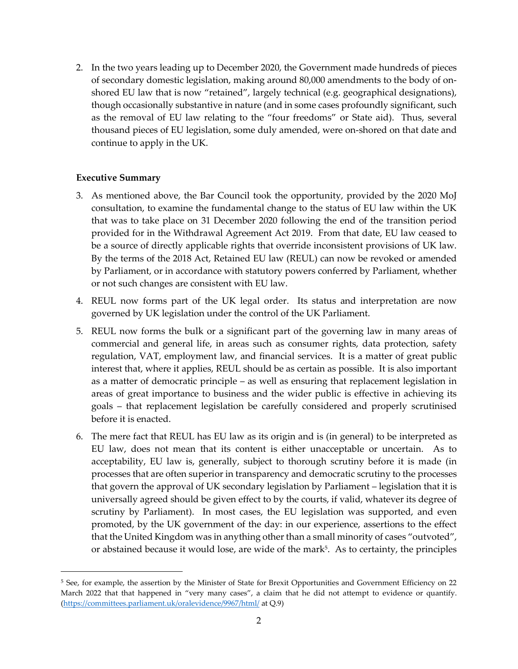2. In the two years leading up to December 2020, the Government made hundreds of pieces of secondary domestic legislation, making around 80,000 amendments to the body of onshored EU law that is now "retained", largely technical (e.g. geographical designations), though occasionally substantive in nature (and in some cases profoundly significant, such as the removal of EU law relating to the "four freedoms" or State aid). Thus, several thousand pieces of EU legislation, some duly amended, were on-shored on that date and continue to apply in the UK.

#### **Executive Summary**

- 3. As mentioned above, the Bar Council took the opportunity, provided by the 2020 MoJ consultation, to examine the fundamental change to the status of EU law within the UK that was to take place on 31 December 2020 following the end of the transition period provided for in the Withdrawal Agreement Act 2019. From that date, EU law ceased to be a source of directly applicable rights that override inconsistent provisions of UK law. By the terms of the 2018 Act, Retained EU law (REUL) can now be revoked or amended by Parliament, or in accordance with statutory powers conferred by Parliament, whether or not such changes are consistent with EU law.
- 4. REUL now forms part of the UK legal order. Its status and interpretation are now governed by UK legislation under the control of the UK Parliament.
- 5. REUL now forms the bulk or a significant part of the governing law in many areas of commercial and general life, in areas such as consumer rights, data protection, safety regulation, VAT, employment law, and financial services. It is a matter of great public interest that, where it applies, REUL should be as certain as possible. It is also important as a matter of democratic principle – as well as ensuring that replacement legislation in areas of great importance to business and the wider public is effective in achieving its goals – that replacement legislation be carefully considered and properly scrutinised before it is enacted.
- 6. The mere fact that REUL has EU law as its origin and is (in general) to be interpreted as EU law, does not mean that its content is either unacceptable or uncertain. As to acceptability, EU law is, generally, subject to thorough scrutiny before it is made (in processes that are often superior in transparency and democratic scrutiny to the processes that govern the approval of UK secondary legislation by Parliament – legislation that it is universally agreed should be given effect to by the courts, if valid, whatever its degree of scrutiny by Parliament). In most cases, the EU legislation was supported, and even promoted, by the UK government of the day: in our experience, assertions to the effect that the United Kingdom was in anything other than a small minority of cases "outvoted", or abstained because it would lose, are wide of the mark<sup>5</sup>. As to certainty, the principles

<sup>5</sup> See, for example, the assertion by the Minister of State for Brexit Opportunities and Government Efficiency on 22 March 2022 that that happened in "very many cases", a claim that he did not attempt to evidence or quantify. [\(https://committees.parliament.uk/oralevidence/9967/html/](https://committees.parliament.uk/oralevidence/9967/html/) at Q.9)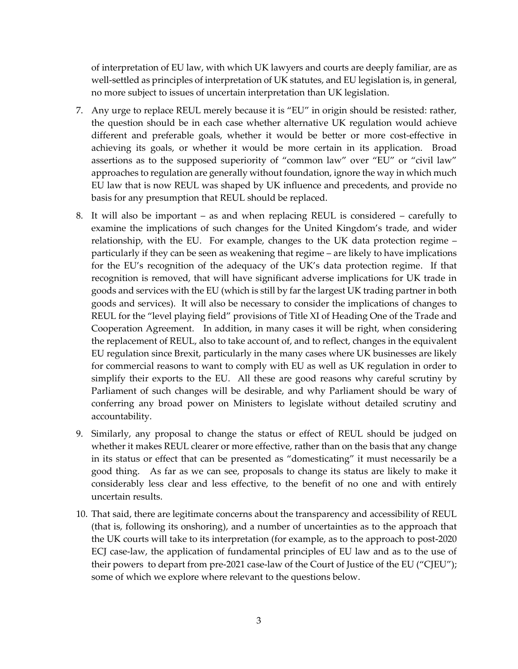of interpretation of EU law, with which UK lawyers and courts are deeply familiar, are as well-settled as principles of interpretation of UK statutes, and EU legislation is, in general, no more subject to issues of uncertain interpretation than UK legislation.

- 7. Any urge to replace REUL merely because it is "EU" in origin should be resisted: rather, the question should be in each case whether alternative UK regulation would achieve different and preferable goals, whether it would be better or more cost-effective in achieving its goals, or whether it would be more certain in its application. Broad assertions as to the supposed superiority of "common law" over "EU" or "civil law" approaches to regulation are generally without foundation, ignore the way in which much EU law that is now REUL was shaped by UK influence and precedents, and provide no basis for any presumption that REUL should be replaced.
- <span id="page-2-0"></span>8. It will also be important – as and when replacing REUL is considered – carefully to examine the implications of such changes for the United Kingdom's trade, and wider relationship, with the EU. For example, changes to the UK data protection regime – particularly if they can be seen as weakening that regime – are likely to have implications for the EU's recognition of the adequacy of the UK's data protection regime. If that recognition is removed, that will have significant adverse implications for UK trade in goods and services with the EU (which is still by far the largest UK trading partner in both goods and services). It will also be necessary to consider the implications of changes to REUL for the "level playing field" provisions of Title XI of Heading One of the Trade and Cooperation Agreement. In addition, in many cases it will be right, when considering the replacement of REUL, also to take account of, and to reflect, changes in the equivalent EU regulation since Brexit, particularly in the many cases where UK businesses are likely for commercial reasons to want to comply with EU as well as UK regulation in order to simplify their exports to the EU. All these are good reasons why careful scrutiny by Parliament of such changes will be desirable, and why Parliament should be wary of conferring any broad power on Ministers to legislate without detailed scrutiny and accountability.
- 9. Similarly, any proposal to change the status or effect of REUL should be judged on whether it makes REUL clearer or more effective, rather than on the basis that any change in its status or effect that can be presented as "domesticating" it must necessarily be a good thing. As far as we can see, proposals to change its status are likely to make it considerably less clear and less effective, to the benefit of no one and with entirely uncertain results.
- 10. That said, there are legitimate concerns about the transparency and accessibility of REUL (that is, following its onshoring), and a number of uncertainties as to the approach that the UK courts will take to its interpretation (for example, as to the approach to post-2020 ECJ case-law, the application of fundamental principles of EU law and as to the use of their powers to depart from pre-2021 case-law of the Court of Justice of the EU ("CJEU"); some of which we explore where relevant to the questions below.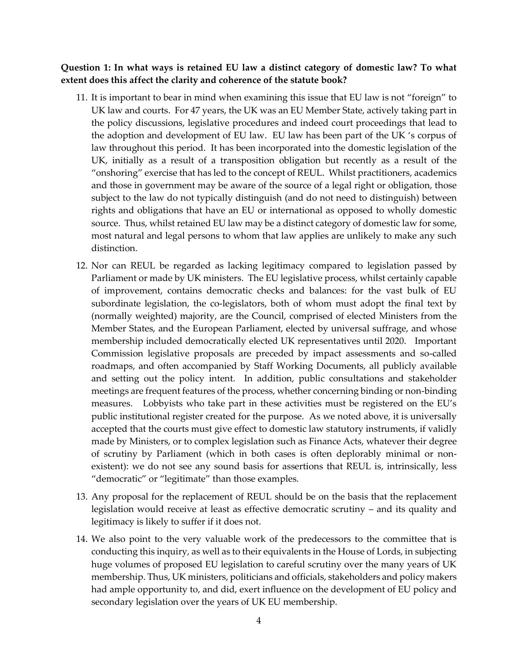#### **Question 1: In what ways is retained EU law a distinct category of domestic law? To what extent does this affect the clarity and coherence of the statute book?**

- 11. It is important to bear in mind when examining this issue that EU law is not "foreign" to UK law and courts. For 47 years, the UK was an EU Member State, actively taking part in the policy discussions, legislative procedures and indeed court proceedings that lead to the adoption and development of EU law. EU law has been part of the UK 's corpus of law throughout this period. It has been incorporated into the domestic legislation of the UK, initially as a result of a transposition obligation but recently as a result of the "onshoring" exercise that has led to the concept of REUL. Whilst practitioners, academics and those in government may be aware of the source of a legal right or obligation, those subject to the law do not typically distinguish (and do not need to distinguish) between rights and obligations that have an EU or international as opposed to wholly domestic source. Thus, whilst retained EU law may be a distinct category of domestic law for some, most natural and legal persons to whom that law applies are unlikely to make any such distinction.
- 12. Nor can REUL be regarded as lacking legitimacy compared to legislation passed by Parliament or made by UK ministers. The EU legislative process, whilst certainly capable of improvement, contains democratic checks and balances: for the vast bulk of EU subordinate legislation, the co-legislators, both of whom must adopt the final text by (normally weighted) majority, are the Council, comprised of elected Ministers from the Member States, and the European Parliament, elected by universal suffrage, and whose membership included democratically elected UK representatives until 2020. Important Commission legislative proposals are preceded by impact assessments and so-called roadmaps, and often accompanied by Staff Working Documents, all publicly available and setting out the policy intent. In addition, public consultations and stakeholder meetings are frequent features of the process, whether concerning binding or non-binding measures. Lobbyists who take part in these activities must be registered on the EU's public institutional register created for the purpose. As we noted above, it is universally accepted that the courts must give effect to domestic law statutory instruments, if validly made by Ministers, or to complex legislation such as Finance Acts, whatever their degree of scrutiny by Parliament (which in both cases is often deplorably minimal or nonexistent): we do not see any sound basis for assertions that REUL is, intrinsically, less "democratic" or "legitimate" than those examples.
- 13. Any proposal for the replacement of REUL should be on the basis that the replacement legislation would receive at least as effective democratic scrutiny – and its quality and legitimacy is likely to suffer if it does not.
- 14. We also point to the very valuable work of the predecessors to the committee that is conducting this inquiry, as well as to their equivalents in the House of Lords, in subjecting huge volumes of proposed EU legislation to careful scrutiny over the many years of UK membership. Thus, UK ministers, politicians and officials, stakeholders and policy makers had ample opportunity to, and did, exert influence on the development of EU policy and secondary legislation over the years of UK EU membership.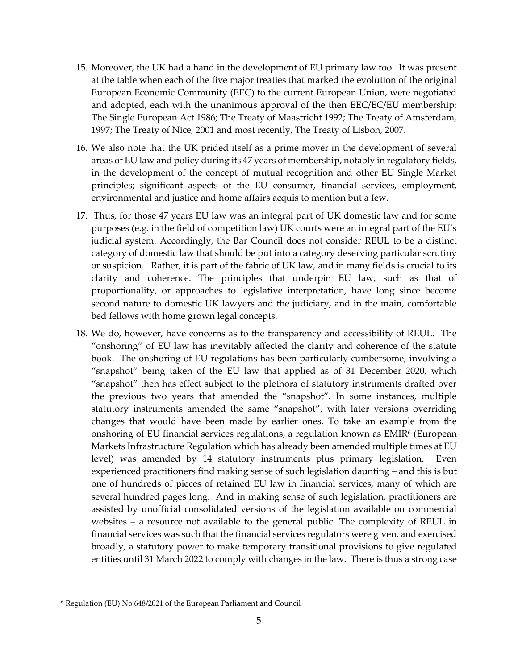- 15. Moreover, the UK had a hand in the development of EU primary law too. It was present at the table when each of the five major treaties that marked the evolution of the original European Economic Community (EEC) to the current European Union, were negotiated and adopted, each with the unanimous approval of the then EEC/EC/EU membership: The Single European Act 1986; The Treaty of Maastricht 1992; The Treaty of Amsterdam, 1997; The Treaty of Nice, 2001 and most recently, The Treaty of Lisbon, 2007.
- 16. We also note that the UK prided itself as a prime mover in the development of several areas of EU law and policy during its 47 years of membership, notably in regulatory fields, in the development of the concept of mutual recognition and other EU Single Market principles; significant aspects of the EU consumer, financial services, employment, environmental and justice and home affairs acquis to mention but a few.
- 17. Thus, for those 47 years EU law was an integral part of UK domestic law and for some purposes (e.g. in the field of competition law) UK courts were an integral part of the EU's judicial system. Accordingly, the Bar Council does not consider REUL to be a distinct category of domestic law that should be put into a category deserving particular scrutiny or suspicion. Rather, it is part of the fabric of UK law, and in many fields is crucial to its clarity and coherence. The principles that underpin EU law, such as that of proportionality, or approaches to legislative interpretation, have long since become second nature to domestic UK lawyers and the judiciary, and in the main, comfortable bed fellows with home grown legal concepts.
- 18. We do, however, have concerns as to the transparency and accessibility of REUL. The "onshoring" of EU law has inevitably affected the clarity and coherence of the statute book. The onshoring of EU regulations has been particularly cumbersome, involving a "snapshot" being taken of the EU law that applied as of 31 December 2020, which "snapshot" then has effect subject to the plethora of statutory instruments drafted over the previous two years that amended the "snapshot". In some instances, multiple statutory instruments amended the same "snapshot", with later versions overriding changes that would have been made by earlier ones. To take an example from the onshoring of EU financial services regulations, a regulation known as EMIR<sup>6</sup> (European Markets Infrastructure Regulation which has already been amended multiple times at EU level) was amended by 14 statutory instruments plus primary legislation. Even experienced practitioners find making sense of such legislation daunting – and this is but one of hundreds of pieces of retained EU law in financial services, many of which are several hundred pages long. And in making sense of such legislation, practitioners are assisted by unofficial consolidated versions of the legislation available on commercial websites – a resource not available to the general public. The complexity of REUL in financial services was such that the financial services regulators were given, and exercised broadly, a statutory power to make temporary transitional provisions to give regulated entities until 31 March 2022 to comply with changes in the law. There is thus a strong case

<sup>6</sup> Regulation (EU) No 648/2021 of the European Parliament and Council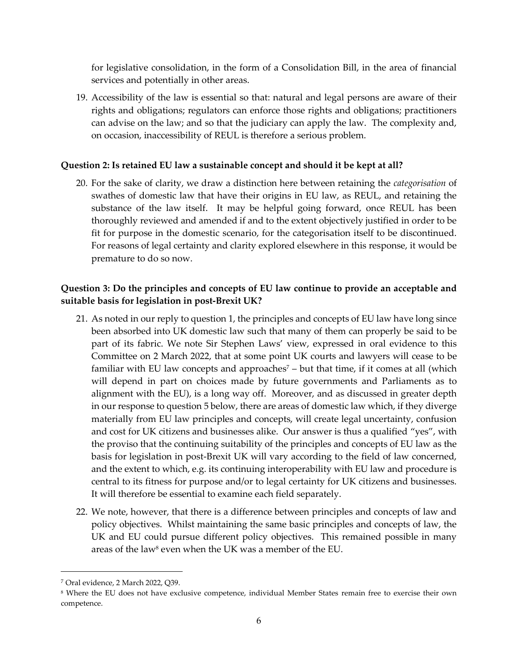for legislative consolidation, in the form of a Consolidation Bill, in the area of financial services and potentially in other areas.

19. Accessibility of the law is essential so that: natural and legal persons are aware of their rights and obligations; regulators can enforce those rights and obligations; practitioners can advise on the law; and so that the judiciary can apply the law. The complexity and, on occasion, inaccessibility of REUL is therefore a serious problem.

#### **Question 2: Is retained EU law a sustainable concept and should it be kept at all?**

20. For the sake of clarity, we draw a distinction here between retaining the *categorisation* of swathes of domestic law that have their origins in EU law, as REUL, and retaining the substance of the law itself. It may be helpful going forward, once REUL has been thoroughly reviewed and amended if and to the extent objectively justified in order to be fit for purpose in the domestic scenario, for the categorisation itself to be discontinued. For reasons of legal certainty and clarity explored elsewhere in this response, it would be premature to do so now.

## **Question 3: Do the principles and concepts of EU law continue to provide an acceptable and suitable basis for legislation in post-Brexit UK?**

- 21. As noted in our reply to question 1, the principles and concepts of EU law have long since been absorbed into UK domestic law such that many of them can properly be said to be part of its fabric. We note Sir Stephen Laws' view, expressed in oral evidence to this Committee on 2 March 2022, that at some point UK courts and lawyers will cease to be familiar with EU law concepts and approaches<sup> $7$ </sup> – but that time, if it comes at all (which will depend in part on choices made by future governments and Parliaments as to alignment with the EU), is a long way off. Moreover, and as discussed in greater depth in our response to question 5 below, there are areas of domestic law which, if they diverge materially from EU law principles and concepts, will create legal uncertainty, confusion and cost for UK citizens and businesses alike. Our answer is thus a qualified "yes", with the proviso that the continuing suitability of the principles and concepts of EU law as the basis for legislation in post-Brexit UK will vary according to the field of law concerned, and the extent to which, e.g. its continuing interoperability with EU law and procedure is central to its fitness for purpose and/or to legal certainty for UK citizens and businesses. It will therefore be essential to examine each field separately.
- 22. We note, however, that there is a difference between principles and concepts of law and policy objectives. Whilst maintaining the same basic principles and concepts of law, the UK and EU could pursue different policy objectives. This remained possible in many areas of the law<sup>8</sup> even when the UK was a member of the EU.

<sup>7</sup> Oral evidence, 2 March 2022, Q39.

<sup>8</sup> Where the EU does not have exclusive competence, individual Member States remain free to exercise their own competence.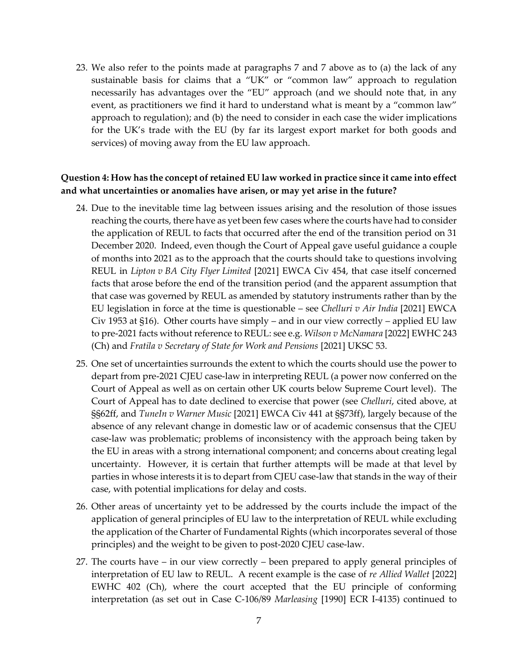23. We also refer to the points made at paragraphs 7 and [7 above](#page-2-0) as to (a) the lack of any sustainable basis for claims that a "UK" or "common law" approach to regulation necessarily has advantages over the "EU" approach (and we should note that, in any event, as practitioners we find it hard to understand what is meant by a "common law" approach to regulation); and (b) the need to consider in each case the wider implications for the UK's trade with the EU (by far its largest export market for both goods and services) of moving away from the EU law approach.

#### **Question 4: How has the concept of retained EU law worked in practice since it came into effect and what uncertainties or anomalies have arisen, or may yet arise in the future?**

- 24. Due to the inevitable time lag between issues arising and the resolution of those issues reaching the courts, there have as yet been few cases where the courts have had to consider the application of REUL to facts that occurred after the end of the transition period on 31 December 2020. Indeed, even though the Court of Appeal gave useful guidance a couple of months into 2021 as to the approach that the courts should take to questions involving REUL in *Lipton v BA City Flyer Limited* [2021] EWCA Civ 454, that case itself concerned facts that arose before the end of the transition period (and the apparent assumption that that case was governed by REUL as amended by statutory instruments rather than by the EU legislation in force at the time is questionable – see *Chelluri v Air India* [2021] EWCA Civ 1953 at §16). Other courts have simply – and in our view correctly – applied EU law to pre-2021 facts without reference to REUL: see e.g. *Wilson v McNamara* [2022] EWHC 243 (Ch) and *Fratila v Secretary of State for Work and Pensions* [2021] UKSC 53.
- 25. One set of uncertainties surrounds the extent to which the courts should use the power to depart from pre-2021 CJEU case-law in interpreting REUL (a power now conferred on the Court of Appeal as well as on certain other UK courts below Supreme Court level). The Court of Appeal has to date declined to exercise that power (see *Chelluri*, cited above, at §§62ff, and *TuneIn v Warner Music* [2021] EWCA Civ 441 at §§73ff), largely because of the absence of any relevant change in domestic law or of academic consensus that the CJEU case-law was problematic; problems of inconsistency with the approach being taken by the EU in areas with a strong international component; and concerns about creating legal uncertainty. However, it is certain that further attempts will be made at that level by parties in whose interests it is to depart from CJEU case-law that stands in the way of their case, with potential implications for delay and costs.
- 26. Other areas of uncertainty yet to be addressed by the courts include the impact of the application of general principles of EU law to the interpretation of REUL while excluding the application of the Charter of Fundamental Rights (which incorporates several of those principles) and the weight to be given to post-2020 CJEU case-law.
- 27. The courts have in our view correctly been prepared to apply general principles of interpretation of EU law to REUL. A recent example is the case of *re Allied Wallet* [2022] EWHC 402 (Ch), where the court accepted that the EU principle of conforming interpretation (as set out in Case C-106/89 *Marleasing* [1990] ECR I-4135) continued to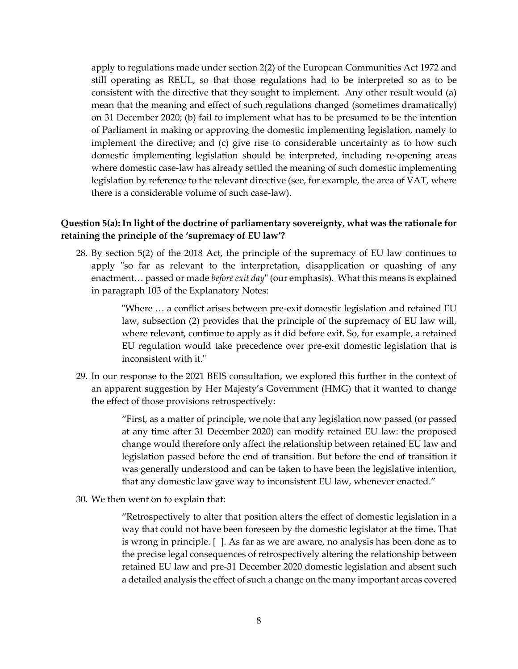apply to regulations made under section 2(2) of the European Communities Act 1972 and still operating as REUL, so that those regulations had to be interpreted so as to be consistent with the directive that they sought to implement. Any other result would (a) mean that the meaning and effect of such regulations changed (sometimes dramatically) on 31 December 2020; (b) fail to implement what has to be presumed to be the intention of Parliament in making or approving the domestic implementing legislation, namely to implement the directive; and (c) give rise to considerable uncertainty as to how such domestic implementing legislation should be interpreted, including re-opening areas where domestic case-law has already settled the meaning of such domestic implementing legislation by reference to the relevant directive (see, for example, the area of VAT, where there is a considerable volume of such case-law).

### **Question 5(a): In light of the doctrine of parliamentary sovereignty, what was the rationale for retaining the principle of the 'supremacy of EU law'?**

28. By section 5(2) of the 2018 Act, the principle of the supremacy of EU law continues to apply "so far as relevant to the interpretation, disapplication or quashing of any enactment… passed or made *before exit day*" (our emphasis). What this means is explained in paragraph 103 of the Explanatory Notes:

> "Where … a conflict arises between pre-exit domestic legislation and retained EU law, subsection (2) provides that the principle of the supremacy of EU law will, where relevant, continue to apply as it did before exit. So, for example, a retained EU regulation would take precedence over pre-exit domestic legislation that is inconsistent with it."

29. In our response to the 2021 BEIS consultation, we explored this further in the context of an apparent suggestion by Her Majesty's Government (HMG) that it wanted to change the effect of those provisions retrospectively:

> "First, as a matter of principle, we note that any legislation now passed (or passed at any time after 31 December 2020) can modify retained EU law: the proposed change would therefore only affect the relationship between retained EU law and legislation passed before the end of transition. But before the end of transition it was generally understood and can be taken to have been the legislative intention, that any domestic law gave way to inconsistent EU law, whenever enacted."

30. We then went on to explain that:

"Retrospectively to alter that position alters the effect of domestic legislation in a way that could not have been foreseen by the domestic legislator at the time. That is wrong in principle. [ ]. As far as we are aware, no analysis has been done as to the precise legal consequences of retrospectively altering the relationship between retained EU law and pre-31 December 2020 domestic legislation and absent such a detailed analysis the effect of such a change on the many important areas covered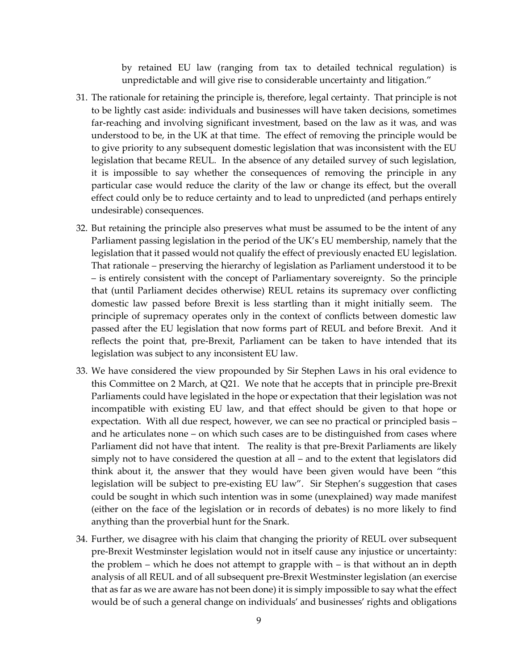by retained EU law (ranging from tax to detailed technical regulation) is unpredictable and will give rise to considerable uncertainty and litigation."

- 31. The rationale for retaining the principle is, therefore, legal certainty. That principle is not to be lightly cast aside: individuals and businesses will have taken decisions, sometimes far-reaching and involving significant investment, based on the law as it was, and was understood to be, in the UK at that time. The effect of removing the principle would be to give priority to any subsequent domestic legislation that was inconsistent with the EU legislation that became REUL. In the absence of any detailed survey of such legislation, it is impossible to say whether the consequences of removing the principle in any particular case would reduce the clarity of the law or change its effect, but the overall effect could only be to reduce certainty and to lead to unpredicted (and perhaps entirely undesirable) consequences.
- 32. But retaining the principle also preserves what must be assumed to be the intent of any Parliament passing legislation in the period of the UK's EU membership, namely that the legislation that it passed would not qualify the effect of previously enacted EU legislation. That rationale – preserving the hierarchy of legislation as Parliament understood it to be – is entirely consistent with the concept of Parliamentary sovereignty. So the principle that (until Parliament decides otherwise) REUL retains its supremacy over conflicting domestic law passed before Brexit is less startling than it might initially seem. The principle of supremacy operates only in the context of conflicts between domestic law passed after the EU legislation that now forms part of REUL and before Brexit. And it reflects the point that, pre-Brexit, Parliament can be taken to have intended that its legislation was subject to any inconsistent EU law.
- 33. We have considered the view propounded by Sir Stephen Laws in his oral evidence to this Committee on 2 March, at Q21. We note that he accepts that in principle pre-Brexit Parliaments could have legislated in the hope or expectation that their legislation was not incompatible with existing EU law, and that effect should be given to that hope or expectation. With all due respect, however, we can see no practical or principled basis – and he articulates none – on which such cases are to be distinguished from cases where Parliament did not have that intent. The reality is that pre-Brexit Parliaments are likely simply not to have considered the question at all – and to the extent that legislators did think about it, the answer that they would have been given would have been "this legislation will be subject to pre-existing EU law". Sir Stephen's suggestion that cases could be sought in which such intention was in some (unexplained) way made manifest (either on the face of the legislation or in records of debates) is no more likely to find anything than the proverbial hunt for the Snark.
- 34. Further, we disagree with his claim that changing the priority of REUL over subsequent pre-Brexit Westminster legislation would not in itself cause any injustice or uncertainty: the problem – which he does not attempt to grapple with – is that without an in depth analysis of all REUL and of all subsequent pre-Brexit Westminster legislation (an exercise that as far as we are aware has not been done) it is simply impossible to say what the effect would be of such a general change on individuals' and businesses' rights and obligations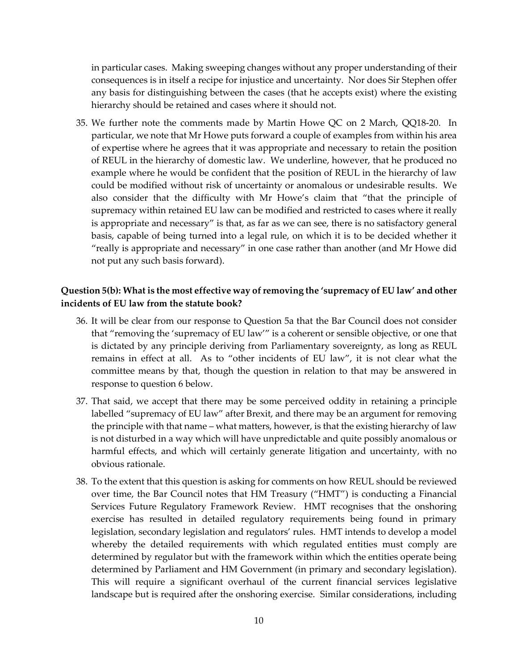in particular cases. Making sweeping changes without any proper understanding of their consequences is in itself a recipe for injustice and uncertainty. Nor does Sir Stephen offer any basis for distinguishing between the cases (that he accepts exist) where the existing hierarchy should be retained and cases where it should not.

35. We further note the comments made by Martin Howe QC on 2 March, QQ18-20. In particular, we note that Mr Howe puts forward a couple of examples from within his area of expertise where he agrees that it was appropriate and necessary to retain the position of REUL in the hierarchy of domestic law. We underline, however, that he produced no example where he would be confident that the position of REUL in the hierarchy of law could be modified without risk of uncertainty or anomalous or undesirable results. We also consider that the difficulty with Mr Howe's claim that "that the principle of supremacy within retained EU law can be modified and restricted to cases where it really is appropriate and necessary" is that, as far as we can see, there is no satisfactory general basis, capable of being turned into a legal rule, on which it is to be decided whether it "really is appropriate and necessary" in one case rather than another (and Mr Howe did not put any such basis forward).

#### **Question 5(b): What is the most effective way of removing the 'supremacy of EU law' and other incidents of EU law from the statute book?**

- 36. It will be clear from our response to Question 5a that the Bar Council does not consider that "removing the 'supremacy of EU law'" is a coherent or sensible objective, or one that is dictated by any principle deriving from Parliamentary sovereignty, as long as REUL remains in effect at all. As to "other incidents of EU law", it is not clear what the committee means by that, though the question in relation to that may be answered in response to question 6 below.
- 37. That said, we accept that there may be some perceived oddity in retaining a principle labelled "supremacy of EU law" after Brexit, and there may be an argument for removing the principle with that name – what matters, however, is that the existing hierarchy of law is not disturbed in a way which will have unpredictable and quite possibly anomalous or harmful effects, and which will certainly generate litigation and uncertainty, with no obvious rationale.
- 38. To the extent that this question is asking for comments on how REUL should be reviewed over time, the Bar Council notes that HM Treasury ("HMT") is conducting a Financial Services Future Regulatory Framework Review. HMT recognises that the onshoring exercise has resulted in detailed regulatory requirements being found in primary legislation, secondary legislation and regulators' rules. HMT intends to develop a model whereby the detailed requirements with which regulated entities must comply are determined by regulator but with the framework within which the entities operate being determined by Parliament and HM Government (in primary and secondary legislation). This will require a significant overhaul of the current financial services legislative landscape but is required after the onshoring exercise. Similar considerations, including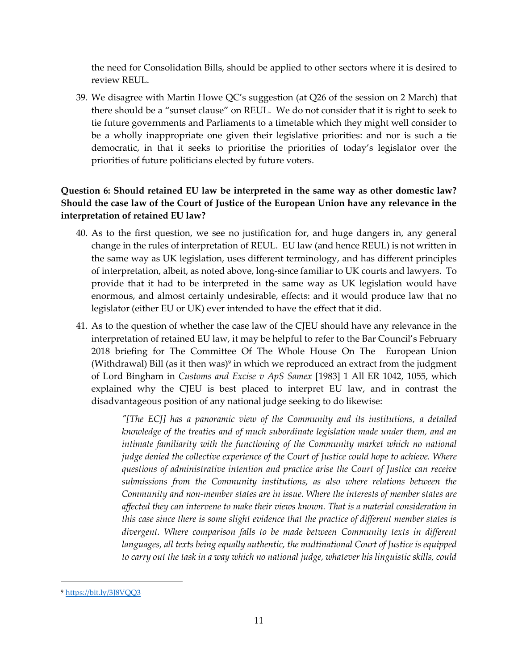the need for Consolidation Bills, should be applied to other sectors where it is desired to review REUL.

39. We disagree with Martin Howe QC's suggestion (at Q26 of the session on 2 March) that there should be a "sunset clause" on REUL. We do not consider that it is right to seek to tie future governments and Parliaments to a timetable which they might well consider to be a wholly inappropriate one given their legislative priorities: and nor is such a tie democratic, in that it seeks to prioritise the priorities of today's legislator over the priorities of future politicians elected by future voters.

## **Question 6: Should retained EU law be interpreted in the same way as other domestic law? Should the case law of the Court of Justice of the European Union have any relevance in the interpretation of retained EU law?**

- 40. As to the first question, we see no justification for, and huge dangers in, any general change in the rules of interpretation of REUL. EU law (and hence REUL) is not written in the same way as UK legislation, uses different terminology, and has different principles of interpretation, albeit, as noted above, long-since familiar to UK courts and lawyers. To provide that it had to be interpreted in the same way as UK legislation would have enormous, and almost certainly undesirable, effects: and it would produce law that no legislator (either EU or UK) ever intended to have the effect that it did.
- 41. As to the question of whether the case law of the CJEU should have any relevance in the interpretation of retained EU law, it may be helpful to refer to the Bar Council's February 2018 briefing for The Committee Of The Whole House On The European Union (Withdrawal) Bill (as it then was)<sup>9</sup> in which we reproduced an extract from the judgment of Lord Bingham in *Customs and Excise v ApS Samex* [1983] 1 All ER 1042, 1055, which explained why the CJEU is best placed to interpret EU law, and in contrast the disadvantageous position of any national judge seeking to do likewise:

*"[The ECJ] has a panoramic view of the Community and its institutions, a detailed knowledge of the treaties and of much subordinate legislation made under them, and an intimate familiarity with the functioning of the Community market which no national judge denied the collective experience of the Court of Justice could hope to achieve. Where questions of administrative intention and practice arise the Court of Justice can receive submissions from the Community institutions, as also where relations between the Community and non-member states are in issue. Where the interests of member states are affected they can intervene to make their views known. That is a material consideration in this case since there is some slight evidence that the practice of different member states is divergent. Where comparison falls to be made between Community texts in different languages, all texts being equally authentic, the multinational Court of Justice is equipped to carry out the task in a way which no national judge, whatever his linguistic skills, could* 

<sup>9</sup> <https://bit.ly/3J8VQQ3>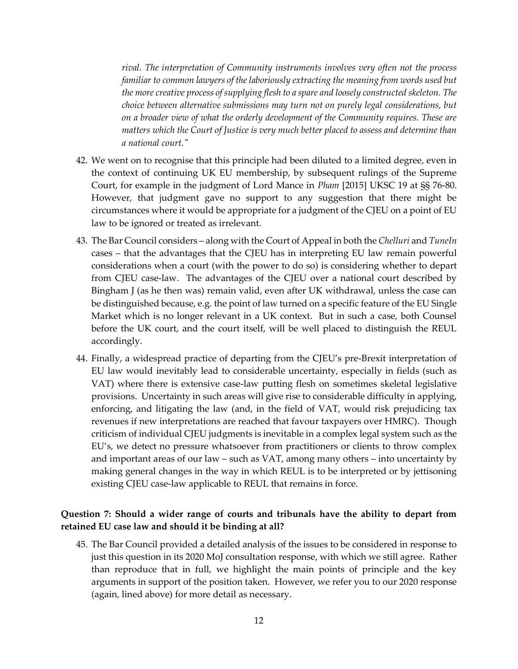*rival. The interpretation of Community instruments involves very often not the process familiar to common lawyers of the laboriously extracting the meaning from words used but the more creative process of supplying flesh to a spare and loosely constructed skeleton. The choice between alternative submissions may turn not on purely legal considerations, but on a broader view of what the orderly development of the Community requires. These are matters which the Court of Justice is very much better placed to assess and determine than a national court."* 

- 42. We went on to recognise that this principle had been diluted to a limited degree, even in the context of continuing UK EU membership, by subsequent rulings of the Supreme Court, for example in the judgment of Lord Mance in *Pham* [2015] UKSC 19 at §§ 76-80. However, that judgment gave no support to any suggestion that there might be circumstances where it would be appropriate for a judgment of the CJEU on a point of EU law to be ignored or treated as irrelevant.
- 43. The Bar Council considers along with the Court of Appeal in both the *Chelluri* and *TuneIn*  cases – that the advantages that the CJEU has in interpreting EU law remain powerful considerations when a court (with the power to do so) is considering whether to depart from CJEU case-law. The advantages of the CJEU over a national court described by Bingham J (as he then was) remain valid, even after UK withdrawal, unless the case can be distinguished because, e.g. the point of law turned on a specific feature of the EU Single Market which is no longer relevant in a UK context. But in such a case, both Counsel before the UK court, and the court itself, will be well placed to distinguish the REUL accordingly.
- 44. Finally, a widespread practice of departing from the CJEU's pre-Brexit interpretation of EU law would inevitably lead to considerable uncertainty, especially in fields (such as VAT) where there is extensive case-law putting flesh on sometimes skeletal legislative provisions. Uncertainty in such areas will give rise to considerable difficulty in applying, enforcing, and litigating the law (and, in the field of VAT, would risk prejudicing tax revenues if new interpretations are reached that favour taxpayers over HMRC). Though criticism of individual CJEU judgments is inevitable in a complex legal system such as the EU's, we detect no pressure whatsoever from practitioners or clients to throw complex and important areas of our law – such as VAT, among many others – into uncertainty by making general changes in the way in which REUL is to be interpreted or by jettisoning existing CJEU case-law applicable to REUL that remains in force.

#### **Question 7: Should a wider range of courts and tribunals have the ability to depart from retained EU case law and should it be binding at all?**

45. The Bar Council provided a detailed analysis of the issues to be considered in response to just this question in its 2020 MoJ consultation response, with which we still agree. Rather than reproduce that in full, we highlight the main points of principle and the key arguments in support of the position taken. However, we refer you to our 2020 response (again, lined above) for more detail as necessary.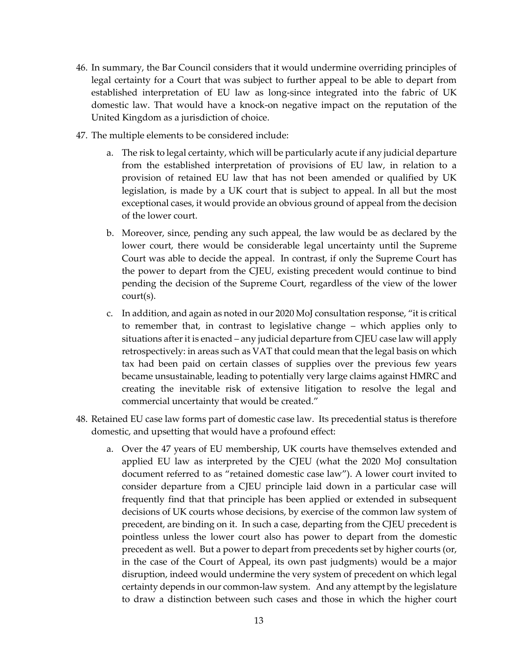- 46. In summary, the Bar Council considers that it would undermine overriding principles of legal certainty for a Court that was subject to further appeal to be able to depart from established interpretation of EU law as long-since integrated into the fabric of UK domestic law. That would have a knock-on negative impact on the reputation of the United Kingdom as a jurisdiction of choice.
- 47. The multiple elements to be considered include:
	- a. The risk to legal certainty, which will be particularly acute if any judicial departure from the established interpretation of provisions of EU law, in relation to a provision of retained EU law that has not been amended or qualified by UK legislation, is made by a UK court that is subject to appeal. In all but the most exceptional cases, it would provide an obvious ground of appeal from the decision of the lower court.
	- b. Moreover, since, pending any such appeal, the law would be as declared by the lower court, there would be considerable legal uncertainty until the Supreme Court was able to decide the appeal. In contrast, if only the Supreme Court has the power to depart from the CJEU, existing precedent would continue to bind pending the decision of the Supreme Court, regardless of the view of the lower court(s).
	- c. In addition, and again as noted in our 2020 MoJ consultation response, "it is critical to remember that, in contrast to legislative change – which applies only to situations after it is enacted – any judicial departure from CJEU case law will apply retrospectively: in areas such as VAT that could mean that the legal basis on which tax had been paid on certain classes of supplies over the previous few years became unsustainable, leading to potentially very large claims against HMRC and creating the inevitable risk of extensive litigation to resolve the legal and commercial uncertainty that would be created."
- 48. Retained EU case law forms part of domestic case law. Its precedential status is therefore domestic, and upsetting that would have a profound effect:
	- a. Over the 47 years of EU membership, UK courts have themselves extended and applied EU law as interpreted by the CJEU (what the 2020 MoJ consultation document referred to as "retained domestic case law"). A lower court invited to consider departure from a CJEU principle laid down in a particular case will frequently find that that principle has been applied or extended in subsequent decisions of UK courts whose decisions, by exercise of the common law system of precedent, are binding on it. In such a case, departing from the CJEU precedent is pointless unless the lower court also has power to depart from the domestic precedent as well. But a power to depart from precedents set by higher courts (or, in the case of the Court of Appeal, its own past judgments) would be a major disruption, indeed would undermine the very system of precedent on which legal certainty depends in our common-law system. And any attempt by the legislature to draw a distinction between such cases and those in which the higher court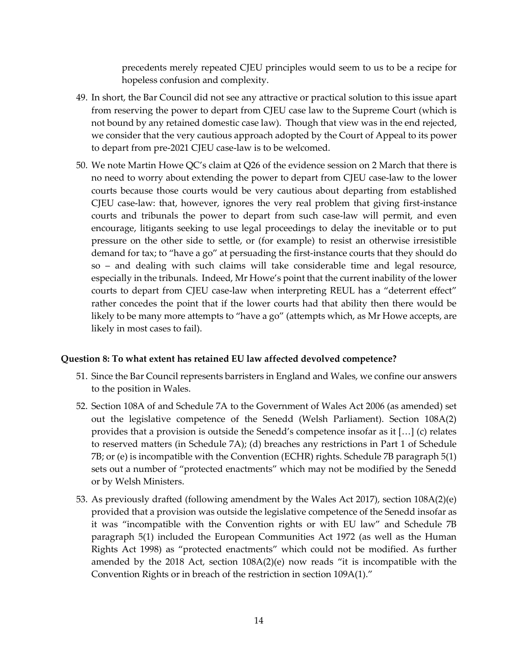precedents merely repeated CJEU principles would seem to us to be a recipe for hopeless confusion and complexity.

- 49. In short, the Bar Council did not see any attractive or practical solution to this issue apart from reserving the power to depart from CJEU case law to the Supreme Court (which is not bound by any retained domestic case law). Though that view was in the end rejected, we consider that the very cautious approach adopted by the Court of Appeal to its power to depart from pre-2021 CJEU case-law is to be welcomed.
- 50. We note Martin Howe QC's claim at Q26 of the evidence session on 2 March that there is no need to worry about extending the power to depart from CJEU case-law to the lower courts because those courts would be very cautious about departing from established CJEU case-law: that, however, ignores the very real problem that giving first-instance courts and tribunals the power to depart from such case-law will permit, and even encourage, litigants seeking to use legal proceedings to delay the inevitable or to put pressure on the other side to settle, or (for example) to resist an otherwise irresistible demand for tax; to "have a go" at persuading the first-instance courts that they should do so – and dealing with such claims will take considerable time and legal resource, especially in the tribunals. Indeed, Mr Howe's point that the current inability of the lower courts to depart from CJEU case-law when interpreting REUL has a "deterrent effect" rather concedes the point that if the lower courts had that ability then there would be likely to be many more attempts to "have a go" (attempts which, as Mr Howe accepts, are likely in most cases to fail).

#### **Question 8: To what extent has retained EU law affected devolved competence?**

- 51. Since the Bar Council represents barristers in England and Wales, we confine our answers to the position in Wales.
- 52. Section 108A of and Schedule 7A to the Government of Wales Act 2006 (as amended) set out the legislative competence of the Senedd (Welsh Parliament). Section 108A(2) provides that a provision is outside the Senedd's competence insofar as it […] (c) relates to reserved matters (in Schedule 7A); (d) breaches any restrictions in Part 1 of Schedule 7B; or (e) is incompatible with the Convention (ECHR) rights. Schedule 7B paragraph 5(1) sets out a number of "protected enactments" which may not be modified by the Senedd or by Welsh Ministers.
- 53. As previously drafted (following amendment by the Wales Act 2017), section 108A(2)(e) provided that a provision was outside the legislative competence of the Senedd insofar as it was "incompatible with the Convention rights or with EU law" and Schedule 7B paragraph 5(1) included the European Communities Act 1972 (as well as the Human Rights Act 1998) as "protected enactments" which could not be modified. As further amended by the 2018 Act, section  $108A(2)(e)$  now reads "it is incompatible with the Convention Rights or in breach of the restriction in section 109A(1)."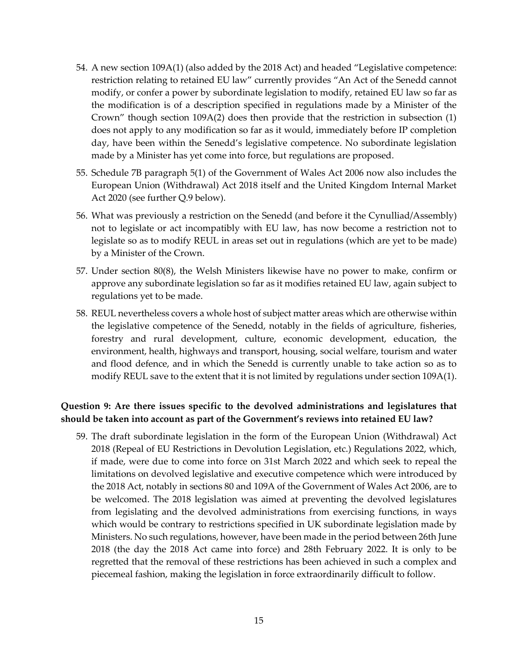- 54. A new section 109A(1) (also added by the 2018 Act) and headed "Legislative competence: restriction relating to retained EU law" currently provides "An Act of the Senedd cannot modify, or confer a power by subordinate legislation to modify, retained EU law so far as the modification is of a description specified in regulations made by a Minister of the Crown" though section 109A(2) does then provide that the restriction in subsection (1) does not apply to any modification so far as it would, immediately before IP completion day, have been within the Senedd's legislative competence. No subordinate legislation made by a Minister has yet come into force, but regulations are proposed.
- 55. Schedule 7B paragraph 5(1) of the Government of Wales Act 2006 now also includes the European Union (Withdrawal) Act 2018 itself and the United Kingdom Internal Market Act 2020 (see further Q.9 below).
- 56. What was previously a restriction on the Senedd (and before it the Cynulliad/Assembly) not to legislate or act incompatibly with EU law, has now become a restriction not to legislate so as to modify REUL in areas set out in regulations (which are yet to be made) by a Minister of the Crown.
- 57. Under section 80(8), the Welsh Ministers likewise have no power to make, confirm or approve any subordinate legislation so far as it modifies retained EU law, again subject to regulations yet to be made.
- 58. REUL nevertheless covers a whole host of subject matter areas which are otherwise within the legislative competence of the Senedd, notably in the fields of agriculture, fisheries, forestry and rural development, culture, economic development, education, the environment, health, highways and transport, housing, social welfare, tourism and water and flood defence, and in which the Senedd is currently unable to take action so as to modify REUL save to the extent that it is not limited by regulations under section 109A(1).

### **Question 9: Are there issues specific to the devolved administrations and legislatures that should be taken into account as part of the Government's reviews into retained EU law?**

59. The draft subordinate legislation in the form of the European Union (Withdrawal) Act 2018 (Repeal of EU Restrictions in Devolution Legislation, etc.) Regulations 2022, which, if made, were due to come into force on 31st March 2022 and which seek to repeal the limitations on devolved legislative and executive competence which were introduced by the 2018 Act, notably in sections 80 and 109A of the Government of Wales Act 2006, are to be welcomed. The 2018 legislation was aimed at preventing the devolved legislatures from legislating and the devolved administrations from exercising functions, in ways which would be contrary to restrictions specified in UK subordinate legislation made by Ministers. No such regulations, however, have been made in the period between 26th June 2018 (the day the 2018 Act came into force) and 28th February 2022. It is only to be regretted that the removal of these restrictions has been achieved in such a complex and piecemeal fashion, making the legislation in force extraordinarily difficult to follow.